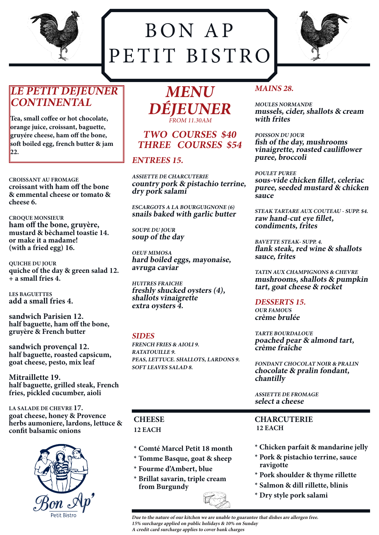

## BON AP PETIT BISTRO



## **LE PETIT DEJEUNER CONTINENTAL**

**Tea, small coffee or hot chocolate, orange juice, croissant, baguette, gruyére cheese, ham off the bone, soft boiled egg, french butter & jam 22.**

**CROISSANT AU FROMAGE croissant with ham off the bone & emmental cheese or tomato & cheese 6.**

**CROQUE MONSIEUR ham off the bone, gruyère, mustard & bèchamel toastie 14. or make it a madame! (with a fried egg) 16.**

**QUICHE DU JOUR quiche of the day & green salad 12. + a small fries 4.**

**LES BAGUETTES add a small fries 4.**

**sandwich Parisien 12. half baguette, ham off the bone, gruyère & French butter**

**sandwich provençal 12. half baguette, roasted capsicum, goat cheese, pesto, mix leaf**

**Mitraillette 19. half baguette, grilled steak, French fries, pickled cucumber, aioli**

**LA SALADE DE CHEVRE 17. goat cheese, honey & Provence herbs aumoniere, lardons, lettuce & confit balsamic onions**



**MENU DÉJEUNER** FROM 11.30AM

## **TWO COURSES \$40 THREE COURSES \$54**

## **ENTREES 15.**

**ASSIETTE DE CHARCUTERIE country pork & pistachio terrine, dry pork salami**

**ESCARGOTS A LA BOURGUIGNONE (6) snails baked with garlic butter**

**SOUPE DU JOUR soup of the day**

**OEUF MIMOSA hard boiled eggs, mayonaise, avruga caviar**

**HUITRES FRAICHE freshly shucked oysters (4), shallots vinaigrette extra oysters 4.**

#### **SIDES**

**FRENCH FRIES & AIOLI 9. RATATOUILLE 9. PEAS, LETTUCE. SHALLOTS, LARDONS 9. SOFT LEAVES SALAD 8.**

## **CHEESE 12 EACH**

- **\* Comté Marcel Petit 18 month**
- **\* Tomme Basque, goat & sheep**
- **\* Fourme d'Ambert, blue**
- **\* Brillat savarin, triple cream from Burgundy**

## **MAINS 28.**

**MOULES NORMANDE mussels, cider, shallots & cream with frites**

**POISSON DU JOUR fish of the day, mushrooms vinaigrette, roasted cauliflower puree, broccoli**

#### **POULET PUREE**

**sous-vide chicken fillet, celeriac puree, seeded mustard & chicken sauce**

**STEAK TARTARE AUX COUTEAU - SUPP. \$4. raw hand-cut eye fillet, condiments, frites**

**BAVETTE STEAK- SUPP. 4. flank steak, red wine & shallots sauce, frites**

**TATIN AUX CHAMPIGNONS & CHEVRE mushrooms, shallots & pumpkin tart, goat cheese & rocket**

**DESSERTS 15. OUR FAMOUS crème brulée**

**TARTE BOURDALOUE poached pear & almond tart, crème fraîche**

**FONDANT CHOCOLAT NOIR & PRALIN chocolate & pralin fondant, chantilly**

**ASSIETTE DE FROMAGE select a cheese**

**CHARCUTERIE 12 EACH**

- **\* Chicken parfait & mandarine jelly**
- **\* Pork & pistachio terrine, sauce ravigotte**
- **\* Pork shoulder & thyme rillette**
- **\* Salmon & dill rillette, blinis**
- **\* Dry style pork salami**

**Due to the nature of our kitchen we are unable to guarantee that dishes are allergen free. 15% surcharge applied on public holidays & 10% on Sunday A credit card surcharge applies to cover bank charges**